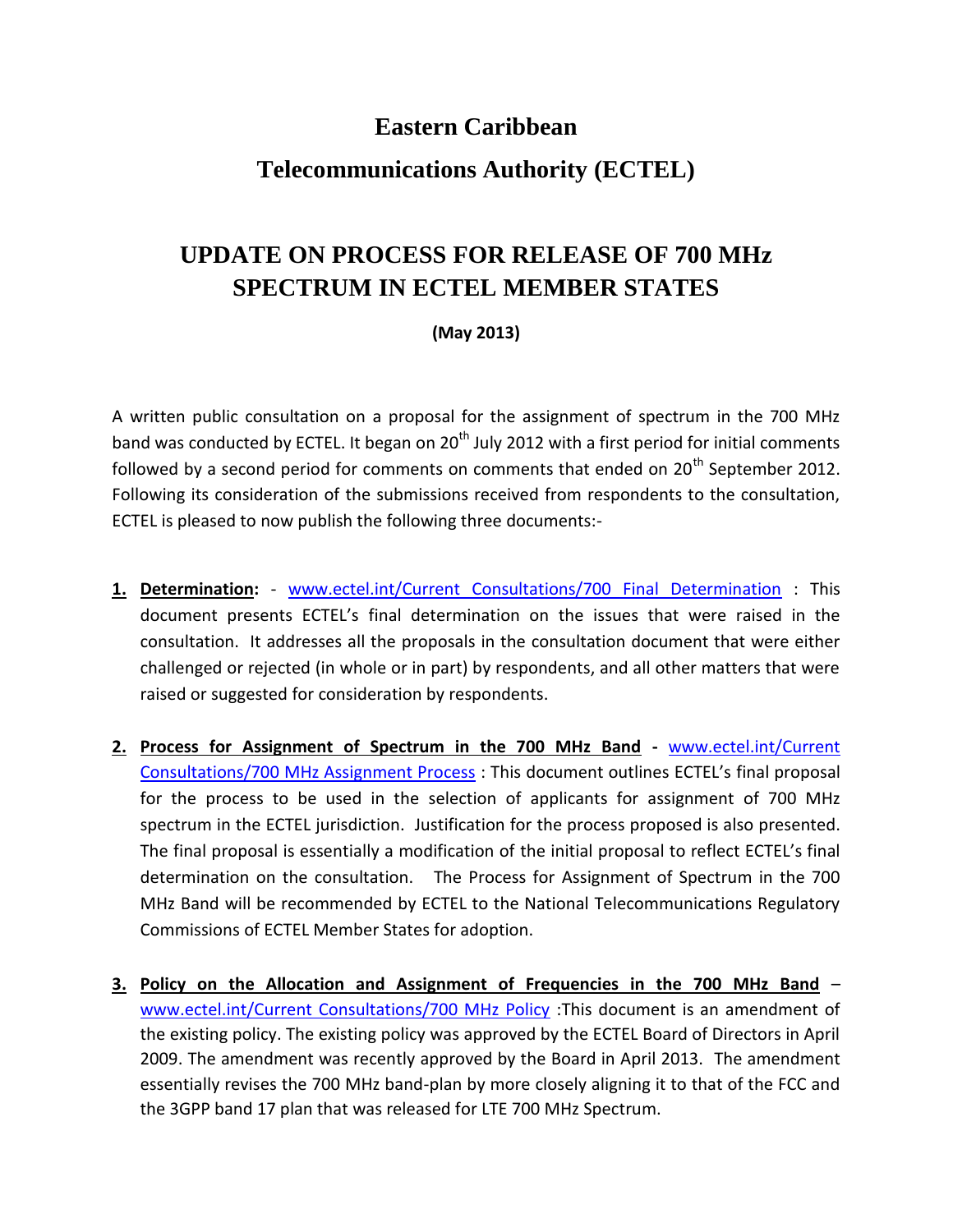## **Eastern Caribbean**

## **Telecommunications Authority (ECTEL)**

## **UPDATE ON PROCESS FOR RELEASE OF 700 MHz SPECTRUM IN ECTEL MEMBER STATES**

## **(May 2013)**

A written public consultation on [a proposal for the assignment of spectrum in the 700 MHz](http://ectel.int/Current%20Consultations/ExtensionNOTICE-ConsultationOnProposalOfAssignmentOfSpectrum700MHzBand.pdf)  [band](http://ectel.int/Current%20Consultations/ExtensionNOTICE-ConsultationOnProposalOfAssignmentOfSpectrum700MHzBand.pdf) was conducted by ECTEL. It began on 20<sup>th</sup> July 2012 with a first period for initial comments followed by a second period for comments on comments that ended on  $20<sup>th</sup>$  September 2012. Following its consideration of the submissions received from respondents to the consultation, ECTEL is pleased to now publish the following three documents:-

- **1. Determination:** [www.ectel.int/Current Consultations/700 Final Determination](http://www.ectel.int/Current%20Consultations/700%20Final%20Determination.pdf) : This document presents ECTEL's final determination on the issues that were raised in the consultation. It addresses all the proposals in the consultation document that were either challenged or rejected (in whole or in part) by respondents, and all other matters that were raised or suggested for consideration by respondents.
- **2. Process for Assignment of Spectrum in the 700 MHz Band -** [www.ectel.int/Current](http://www.ectel.int/Current%20Consultations/700%20MHz%20Assignment%20Process.pdf)  [Consultations/700 MHz Assignment Process](http://www.ectel.int/Current%20Consultations/700%20MHz%20Assignment%20Process.pdf) : This document outlines ECTEL's final proposal for the process to be used in the selection of applicants for assignment of 700 MHz spectrum in the ECTEL jurisdiction. Justification for the process proposed is also presented. The final proposal is essentially a modification of the initial proposal to reflect ECTEL's final determination on the consultation. The Process for Assignment of Spectrum in the 700 MHz Band will be recommended by ECTEL to the National Telecommunications Regulatory Commissions of ECTEL Member States for adoption.
- **3. Policy on the Allocation and Assignment of Frequencies in the 700 MHz Band** [www.ectel.int/Current Consultations/700 MHz Policy](http://www.ectel.int/Current%20Consultations/700%20MHz%20Policy.pdf) :This document is an amendment of the existing policy. The existing policy was approved by the ECTEL Board of Directors in April 2009. The amendment was recently approved by the Board in April 2013. The amendment essentially revises the 700 MHz band-plan by more closely aligning it to that of the FCC and the 3GPP band 17 plan that was released for LTE 700 MHz Spectrum.